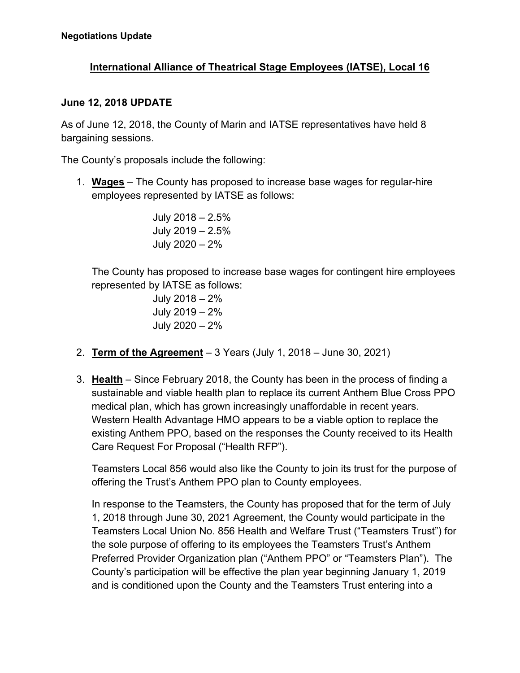## **International Alliance of Theatrical Stage Employees (IATSE), Local 16**

## **June 12, 2018 UPDATE**

As of June 12, 2018, the County of Marin and IATSE representatives have held 8 bargaining sessions.

The County's proposals include the following:

1. **Wages** – The County has proposed to increase base wages for regular-hire employees represented by IATSE as follows:

> July 2018 – 2.5% July 2019 – 2.5% July 2020 – 2%

 The County has proposed to increase base wages for contingent hire employees represented by IATSE as follows:

> July 2018 – 2% July 2019 – 2% July 2020 – 2%

- 2. **Term of the Agreement** 3 Years (July 1, 2018 June 30, 2021)
- 3. **Health** Since February 2018, the County has been in the process of finding a sustainable and viable health plan to replace its current Anthem Blue Cross PPO medical plan, which has grown increasingly unaffordable in recent years. Western Health Advantage HMO appears to be a viable option to replace the existing Anthem PPO, based on the responses the County received to its Health Care Request For Proposal ("Health RFP").

Teamsters Local 856 would also like the County to join its trust for the purpose of offering the Trust's Anthem PPO plan to County employees.

In response to the Teamsters, the County has proposed that for the term of July 1, 2018 through June 30, 2021 Agreement, the County would participate in the Teamsters Local Union No. 856 Health and Welfare Trust ("Teamsters Trust") for the sole purpose of offering to its employees the Teamsters Trust's Anthem Preferred Provider Organization plan ("Anthem PPO" or "Teamsters Plan"). The County's participation will be effective the plan year beginning January 1, 2019 and is conditioned upon the County and the Teamsters Trust entering into a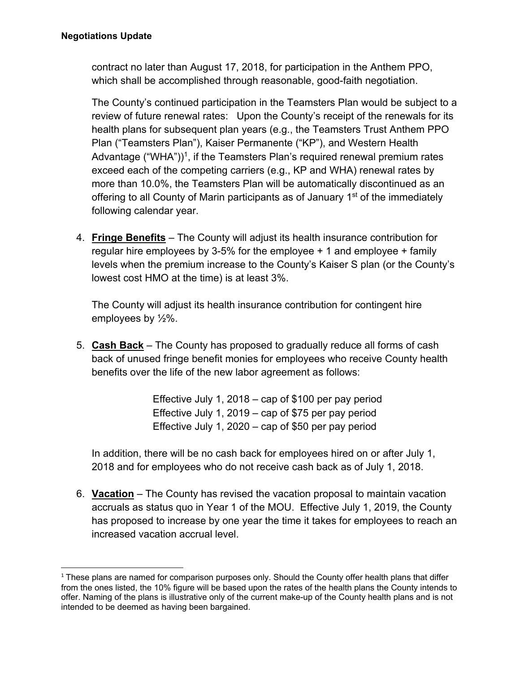contract no later than August 17, 2018, for participation in the Anthem PPO, which shall be accomplished through reasonable, good-faith negotiation.

The County's continued participation in the Teamsters Plan would be subject to a review of future renewal rates: Upon the County's receipt of the renewals for its health plans for subsequent plan years (e.g., the Teamsters Trust Anthem PPO Plan ("Teamsters Plan"), Kaiser Permanente ("KP"), and Western Health Advantage ("WHA"))<sup>1</sup>, if the Teamsters Plan's required renewal premium rates exceed each of the competing carriers (e.g., KP and WHA) renewal rates by more than 10.0%, the Teamsters Plan will be automatically discontinued as an offering to all County of Marin participants as of January 1<sup>st</sup> of the immediately following calendar year.

4. **Fringe Benefits** – The County will adjust its health insurance contribution for regular hire employees by 3-5% for the employee  $+$  1 and employee  $+$  family levels when the premium increase to the County's Kaiser S plan (or the County's lowest cost HMO at the time) is at least 3%.

The County will adjust its health insurance contribution for contingent hire employees by ½%.

5. **Cash Back** – The County has proposed to gradually reduce all forms of cash back of unused fringe benefit monies for employees who receive County health benefits over the life of the new labor agreement as follows:

> Effective July 1, 2018 – cap of \$100 per pay period Effective July 1, 2019 – cap of \$75 per pay period Effective July 1, 2020 – cap of \$50 per pay period

In addition, there will be no cash back for employees hired on or after July 1, 2018 and for employees who do not receive cash back as of July 1, 2018.

6. **Vacation** – The County has revised the vacation proposal to maintain vacation accruals as status quo in Year 1 of the MOU. Effective July 1, 2019, the County has proposed to increase by one year the time it takes for employees to reach an increased vacation accrual level.

  $1$  These plans are named for comparison purposes only. Should the County offer health plans that differ from the ones listed, the 10% figure will be based upon the rates of the health plans the County intends to offer. Naming of the plans is illustrative only of the current make-up of the County health plans and is not intended to be deemed as having been bargained.